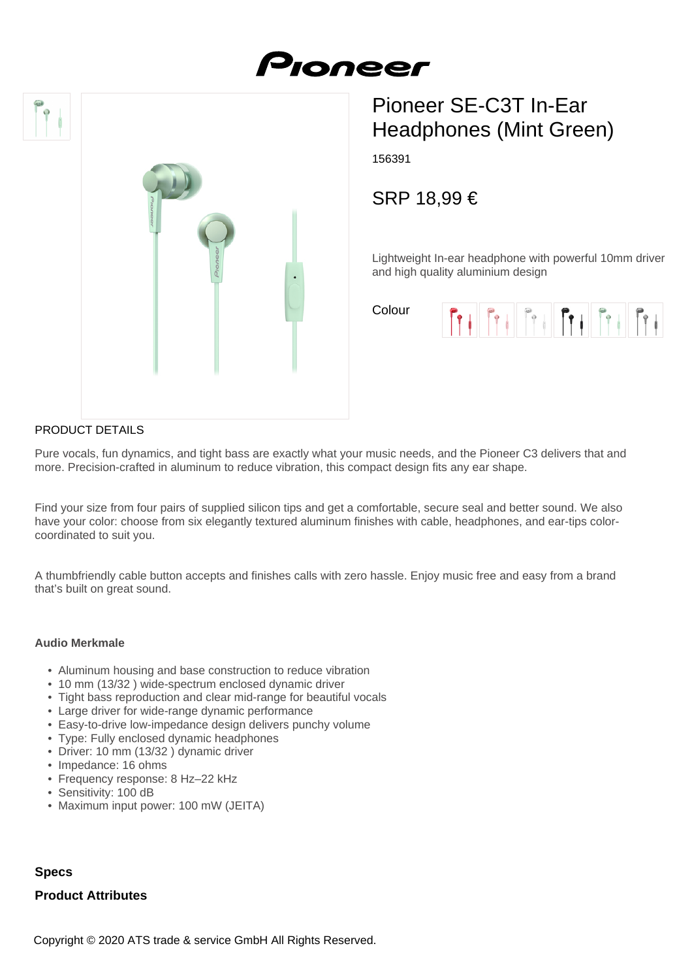





# Pioneer SE-C3T In-Ear Headphones (Mint Green)

156391

SRP 18,99 €

Lightweight In-ear headphone with powerful 10mm driver and high quality aluminium design

Colour



## PRODUCT DETAILS

Pure vocals, fun dynamics, and tight bass are exactly what your music needs, and the Pioneer C3 delivers that and more. Precision-crafted in aluminum to reduce vibration, this compact design fits any ear shape.

Find your size from four pairs of supplied silicon tips and get a comfortable, secure seal and better sound. We also have your color: choose from six elegantly textured aluminum finishes with cable, headphones, and ear-tips colorcoordinated to suit you.

A thumbfriendly cable button accepts and finishes calls with zero hassle. Enjoy music free and easy from a brand that's built on great sound.

#### **Audio Merkmale**

- Aluminum housing and base construction to reduce vibration
- 10 mm (13/32 ) wide-spectrum enclosed dynamic driver
- Tight bass reproduction and clear mid-range for beautiful vocals
- Large driver for wide-range dynamic performance
- Easy-to-drive low-impedance design delivers punchy volume
- Type: Fully enclosed dynamic headphones
- Driver: 10 mm (13/32 ) dynamic driver
- Impedance: 16 ohms
- Frequency response: 8 Hz–22 kHz
- Sensitivity: 100 dB
- Maximum input power: 100 mW (JEITA)

### **Specs**

#### **Product Attributes**

Copyright © 2020 ATS trade & service GmbH All Rights Reserved.